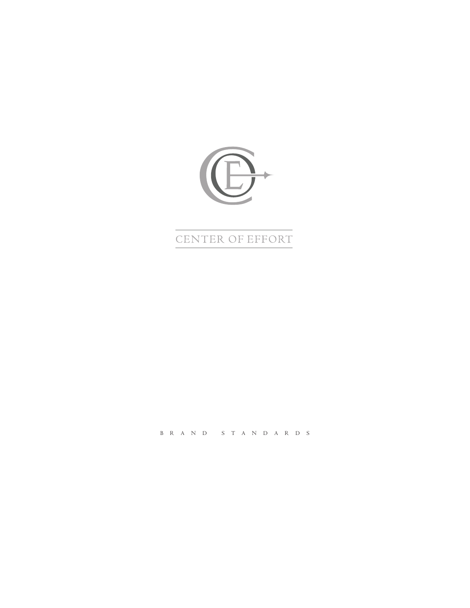

# CENTER OF EFFORT

BRAND STANDARDS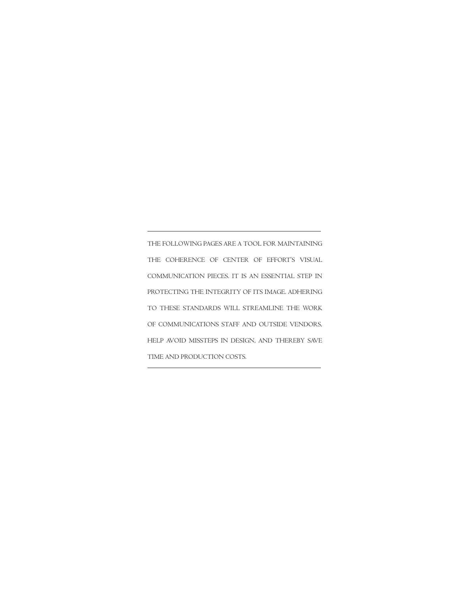THE FOLLOWING PAGES ARE A TOOL FOR MAINTAINING THE COHERENCE OF CENTER OF EFFORT'S VISUAL COMMUNICATION PIECES. IT IS AN ESSENTIAL STEP IN PROTECTING THE INTEGRITY OF ITS IMAGE. ADHERING TO THESE STANDARDS WILL STREAMLINE THE WORK OF COMMUNICATIONS STAFF AND OUTSIDE VENDORS, HELP AVOID MISSTEPS IN DESIGN, AND THEREBY SAVE TIME AND PRODUCTION COSTS.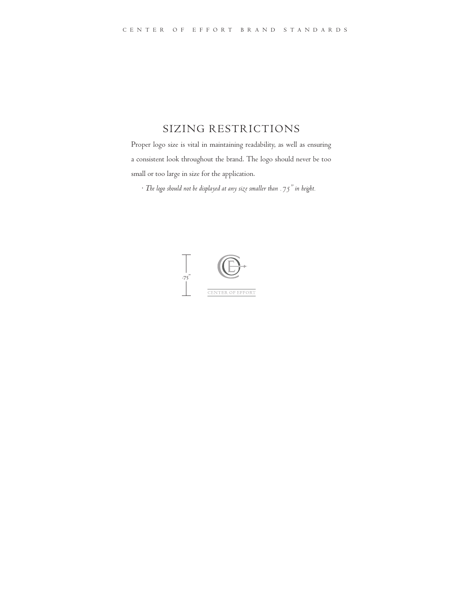# SIZING RESTRICTIONS

Proper logo size is vital in maintaining readability, as well as ensuring a consistent look throughout the brand. The logo should never be too small or too large in size for the application.

 *• The logo should not be displayed at any size smaller than .75" in height.*

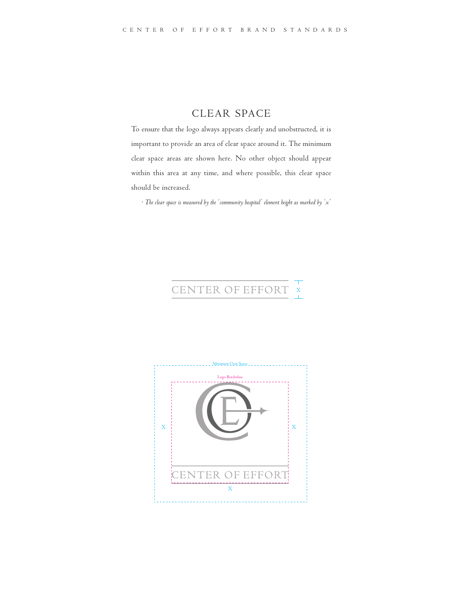#### CLEAR SPACE

To ensure that the logo always appears clearly and unobstructed, it is important to provide an area of clear space around it. The minimum clear space areas are shown here. No other object should appear within this area at any time, and where possible, this clear space should be increased.

 *• The clear space is measured by the 'community hospital' element height as marked by 'x'*

# CENTER OF EFFORT

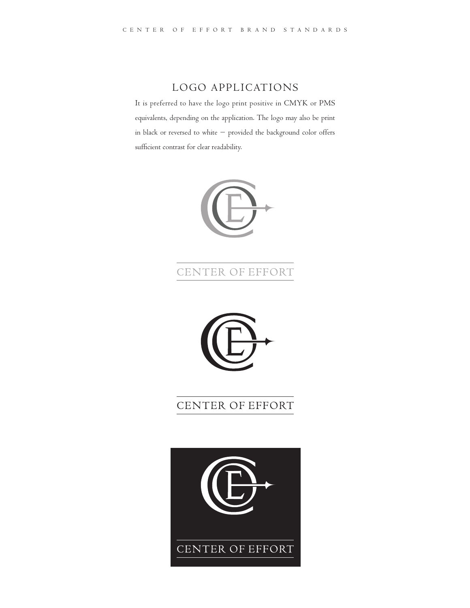# LOGO APPLICATIONS

It is preferred to have the logo print positive in CMYK or PMS equivalents, depending on the application. The logo may also be print in black or reversed to white – provided the background color offers sufficient contrast for clear readability.



# CENTER OF EFFORT



# CENTER OF EFFORT

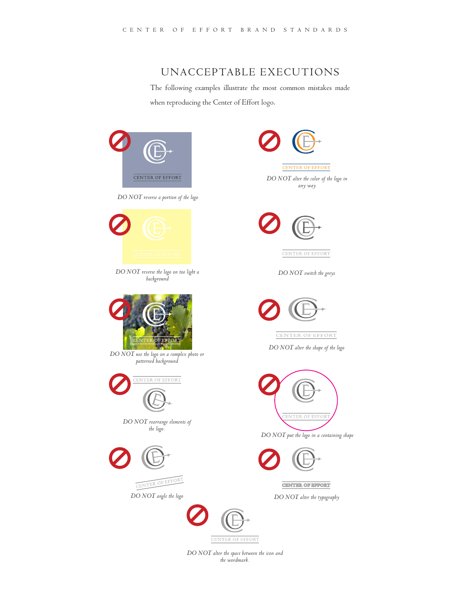#### UNACCEPTABLE EXECUTIONS

The following examples illustrate the most common mistakes made when reproducing the Center of Effort logo.



CENTER OF EFFORT *DO NOT alter the color of the logo in any way*



CENTER OF EFFORT

*DO NOT switch the greys*



CENTER OF EFFORT

*DO NOT alter the shape of the logo*



*DO NOT put the logo in a containing shape*



**CENTER OF EFFORT** 

*DO NOT alter the typography*

*DO NOT alter the space between the icon and the wordmark.*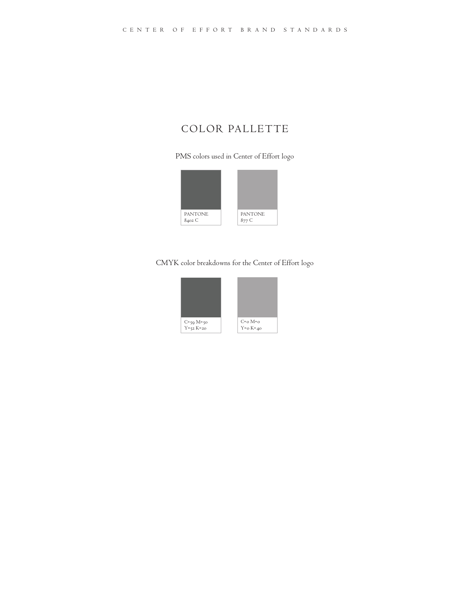# COLOR PALLETTE

PMS colors used in Center of Effort logo



#### CMYK color breakdowns for the Center of Effort logo

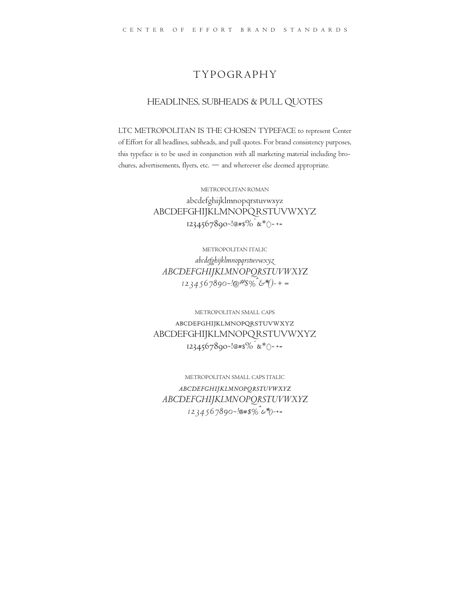#### TYPOGRAPHY

#### HEADLINES, SUBHEADS & PULL QUOTES

LTC METROPOLITAN IS THE CHOSEN TYPEFACE to represent Center of Effort for all headlines, subheads, and pull quotes. For brand consistency purposes, this typeface is to be used in conjunction with all marketing material including brochures, advertisements, flyers, etc. — and whereever else deemed appropriate.

> METROPOLITAN ROMAN abcdefghijklmnopqrstuvwxyz ABCDEFGHIJKLMNOPQRSTUVWXYZ  $1234567890$ <sup>-!@#\$%^</sup>&\*()-+=

METROPOLITAN ITALIC *abcdefghijklmnopqrstuvwxyz ABCDEFGHIJKLMNOPQRSTUVWXYZ 1234567890~!@#\$%^&\*()-+=*

METROPOLITAN SMALL CAPS abcdefghijklmnopqrstuvwxyz ABCDEFGHIJKLMNOPQRSTUVWXYZ 1234567890~!@#\$%<sup>^</sup>&\*()-+=

METROPOLITAN SMALL CAPS ITALIC *abcdefghijklmnopqrstuvwxyz ABCDEFGHIJKLMNOPQRSTUVWXYZ 1234567890~!@#\$%^&\*()-+=*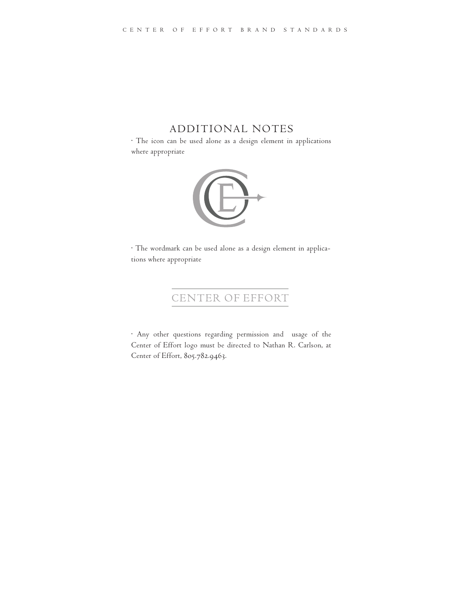#### ADDITIONAL NOTES

• The icon can be used alone as a design element in applications where appropriate



• The wordmark can be used alone as a design element in applications where appropriate

# CENTER OF EFFORT

• Any other questions regarding permission and usage of the Center of Effort logo must be directed to Nathan R. Carlson, at Center of Effort, 805.782.9463.